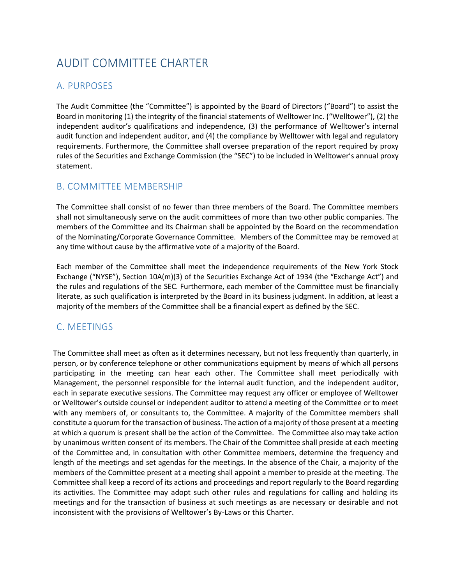# AUDIT COMMITTEE CHARTER

## A. PURPOSES

The Audit Committee (the "Committee") is appointed by the Board of Directors ("Board") to assist the Board in monitoring (1) the integrity of the financial statements of Welltower Inc. ("Welltower"), (2) the independent auditor's qualifications and independence, (3) the performance of Welltower's internal audit function and independent auditor, and (4) the compliance by Welltower with legal and regulatory requirements. Furthermore, the Committee shall oversee preparation of the report required by proxy rules of the Securities and Exchange Commission (the "SEC") to be included in Welltower's annual proxy statement.

### B. COMMITTEE MEMBERSHIP

The Committee shall consist of no fewer than three members of the Board. The Committee members shall not simultaneously serve on the audit committees of more than two other public companies. The members of the Committee and its Chairman shall be appointed by the Board on the recommendation of the Nominating/Corporate Governance Committee. Members of the Committee may be removed at any time without cause by the affirmative vote of a majority of the Board.

Each member of the Committee shall meet the independence requirements of the New York Stock Exchange ("NYSE"), Section 10A(m)(3) of the Securities Exchange Act of 1934 (the "Exchange Act") and the rules and regulations of the SEC. Furthermore, each member of the Committee must be financially literate, as such qualification is interpreted by the Board in its business judgment. In addition, at least a majority of the members of the Committee shall be a financial expert as defined by the SEC.

# C. MEETINGS

The Committee shall meet as often as it determines necessary, but not less frequently than quarterly, in person, or by conference telephone or other communications equipment by means of which all persons participating in the meeting can hear each other. The Committee shall meet periodically with Management, the personnel responsible for the internal audit function, and the independent auditor, each in separate executive sessions. The Committee may request any officer or employee of Welltower or Welltower's outside counsel or independent auditor to attend a meeting of the Committee or to meet with any members of, or consultants to, the Committee. A majority of the Committee members shall constitute a quorum for the transaction of business. The action of a majority of those present at a meeting at which a quorum is present shall be the action of the Committee. The Committee also may take action by unanimous written consent of its members. The Chair of the Committee shall preside at each meeting of the Committee and, in consultation with other Committee members, determine the frequency and length of the meetings and set agendas for the meetings. In the absence of the Chair, a majority of the members of the Committee present at a meeting shall appoint a member to preside at the meeting. The Committee shall keep a record of its actions and proceedings and report regularly to the Board regarding its activities. The Committee may adopt such other rules and regulations for calling and holding its meetings and for the transaction of business at such meetings as are necessary or desirable and not inconsistent with the provisions of Welltower's By-Laws or this Charter.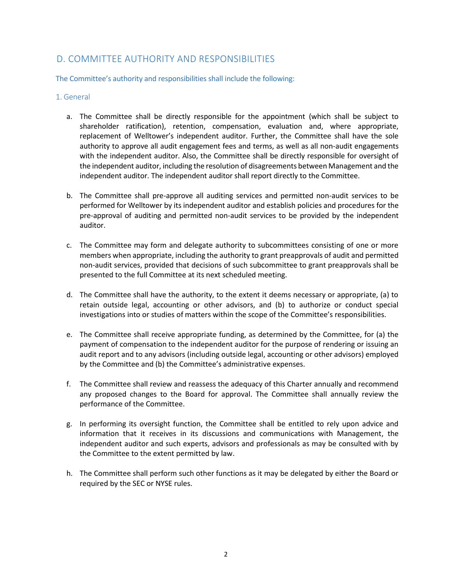### D. COMMITTEE AUTHORITY AND RESPONSIBILITIES

The Committee's authority and responsibilities shall include the following:

#### 1. General

- a. The Committee shall be directly responsible for the appointment (which shall be subject to shareholder ratification), retention, compensation, evaluation and, where appropriate, replacement of Welltower's independent auditor. Further, the Committee shall have the sole authority to approve all audit engagement fees and terms, as well as all non-audit engagements with the independent auditor. Also, the Committee shall be directly responsible for oversight of the independent auditor, including the resolution of disagreements between Management and the independent auditor. The independent auditor shall report directly to the Committee.
- b. The Committee shall pre-approve all auditing services and permitted non-audit services to be performed for Welltower by its independent auditor and establish policies and procedures for the pre-approval of auditing and permitted non-audit services to be provided by the independent auditor.
- c. The Committee may form and delegate authority to subcommittees consisting of one or more members when appropriate, including the authority to grant preapprovals of audit and permitted non-audit services, provided that decisions of such subcommittee to grant preapprovals shall be presented to the full Committee at its next scheduled meeting.
- d. The Committee shall have the authority, to the extent it deems necessary or appropriate, (a) to retain outside legal, accounting or other advisors, and (b) to authorize or conduct special investigations into or studies of matters within the scope of the Committee's responsibilities.
- e. The Committee shall receive appropriate funding, as determined by the Committee, for (a) the payment of compensation to the independent auditor for the purpose of rendering or issuing an audit report and to any advisors (including outside legal, accounting or other advisors) employed by the Committee and (b) the Committee's administrative expenses.
- f. The Committee shall review and reassess the adequacy of this Charter annually and recommend any proposed changes to the Board for approval. The Committee shall annually review the performance of the Committee.
- g. In performing its oversight function, the Committee shall be entitled to rely upon advice and information that it receives in its discussions and communications with Management, the independent auditor and such experts, advisors and professionals as may be consulted with by the Committee to the extent permitted by law.
- h. The Committee shall perform such other functions as it may be delegated by either the Board or required by the SEC or NYSE rules.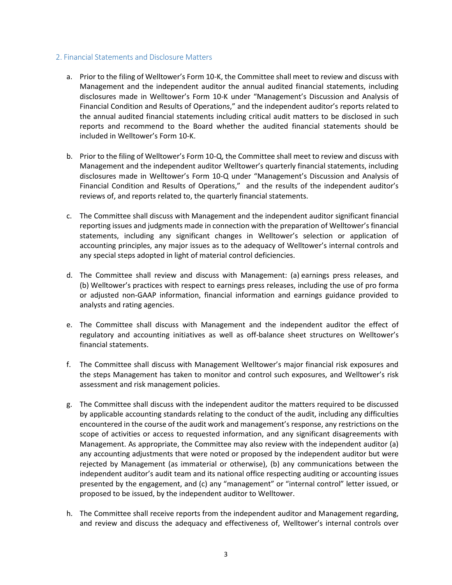#### 2. Financial Statements and Disclosure Matters

- a. Prior to the filing of Welltower's Form 10-K, the Committee shall meet to review and discuss with Management and the independent auditor the annual audited financial statements, including disclosures made in Welltower's Form 10-K under "Management's Discussion and Analysis of Financial Condition and Results of Operations," and the independent auditor's reports related to the annual audited financial statements including critical audit matters to be disclosed in such reports and recommend to the Board whether the audited financial statements should be included in Welltower's Form 10-K.
- b. Prior to the filing of Welltower's Form 10-Q, the Committee shall meet to review and discuss with Management and the independent auditor Welltower's quarterly financial statements, including disclosures made in Welltower's Form 10-Q under "Management's Discussion and Analysis of Financial Condition and Results of Operations," and the results of the independent auditor's reviews of, and reports related to, the quarterly financial statements.
- c. The Committee shall discuss with Management and the independent auditor significant financial reporting issues and judgments made in connection with the preparation of Welltower's financial statements, including any significant changes in Welltower's selection or application of accounting principles, any major issues as to the adequacy of Welltower's internal controls and any special steps adopted in light of material control deficiencies.
- d. The Committee shall review and discuss with Management: (a) earnings press releases, and (b) Welltower's practices with respect to earnings press releases, including the use of pro forma or adjusted non-GAAP information, financial information and earnings guidance provided to analysts and rating agencies.
- e. The Committee shall discuss with Management and the independent auditor the effect of regulatory and accounting initiatives as well as off-balance sheet structures on Welltower's financial statements.
- f. The Committee shall discuss with Management Welltower's major financial risk exposures and the steps Management has taken to monitor and control such exposures, and Welltower's risk assessment and risk management policies.
- g. The Committee shall discuss with the independent auditor the matters required to be discussed by applicable accounting standards relating to the conduct of the audit, including any difficulties encountered in the course of the audit work and management's response, any restrictions on the scope of activities or access to requested information, and any significant disagreements with Management. As appropriate, the Committee may also review with the independent auditor (a) any accounting adjustments that were noted or proposed by the independent auditor but were rejected by Management (as immaterial or otherwise), (b) any communications between the independent auditor's audit team and its national office respecting auditing or accounting issues presented by the engagement, and (c) any "management" or "internal control" letter issued, or proposed to be issued, by the independent auditor to Welltower.
- h. The Committee shall receive reports from the independent auditor and Management regarding, and review and discuss the adequacy and effectiveness of, Welltower's internal controls over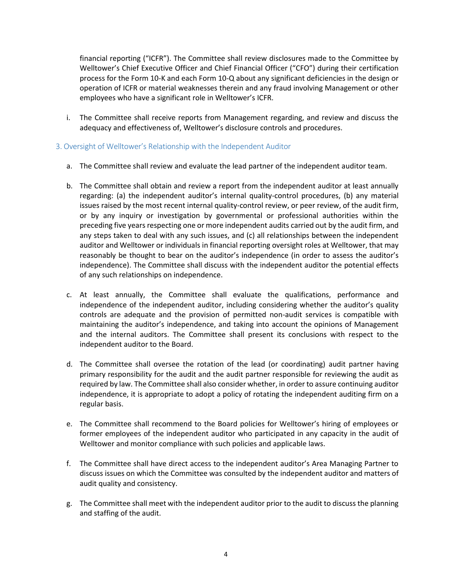financial reporting ("ICFR"). The Committee shall review disclosures made to the Committee by Welltower's Chief Executive Officer and Chief Financial Officer ("CFO") during their certification process for the Form 10-K and each Form 10-Q about any significant deficiencies in the design or operation of ICFR or material weaknesses therein and any fraud involving Management or other employees who have a significant role in Welltower's ICFR.

i. The Committee shall receive reports from Management regarding, and review and discuss the adequacy and effectiveness of, Welltower's disclosure controls and procedures.

#### 3. Oversight of Welltower's Relationship with the Independent Auditor

- a. The Committee shall review and evaluate the lead partner of the independent auditor team.
- b. The Committee shall obtain and review a report from the independent auditor at least annually regarding: (a) the independent auditor's internal quality-control procedures, (b) any material issues raised by the most recent internal quality-control review, or peer review, of the audit firm, or by any inquiry or investigation by governmental or professional authorities within the preceding five years respecting one or more independent audits carried out by the audit firm, and any steps taken to deal with any such issues, and (c) all relationships between the independent auditor and Welltower or individuals in financial reporting oversight roles at Welltower, that may reasonably be thought to bear on the auditor's independence (in order to assess the auditor's independence). The Committee shall discuss with the independent auditor the potential effects of any such relationships on independence.
- c. At least annually, the Committee shall evaluate the qualifications, performance and independence of the independent auditor, including considering whether the auditor's quality controls are adequate and the provision of permitted non-audit services is compatible with maintaining the auditor's independence, and taking into account the opinions of Management and the internal auditors. The Committee shall present its conclusions with respect to the independent auditor to the Board.
- d. The Committee shall oversee the rotation of the lead (or coordinating) audit partner having primary responsibility for the audit and the audit partner responsible for reviewing the audit as required by law. The Committee shall also consider whether, in order to assure continuing auditor independence, it is appropriate to adopt a policy of rotating the independent auditing firm on a regular basis.
- e. The Committee shall recommend to the Board policies for Welltower's hiring of employees or former employees of the independent auditor who participated in any capacity in the audit of Welltower and monitor compliance with such policies and applicable laws.
- f. The Committee shall have direct access to the independent auditor's Area Managing Partner to discuss issues on which the Committee was consulted by the independent auditor and matters of audit quality and consistency.
- g. The Committee shall meet with the independent auditor prior to the audit to discuss the planning and staffing of the audit.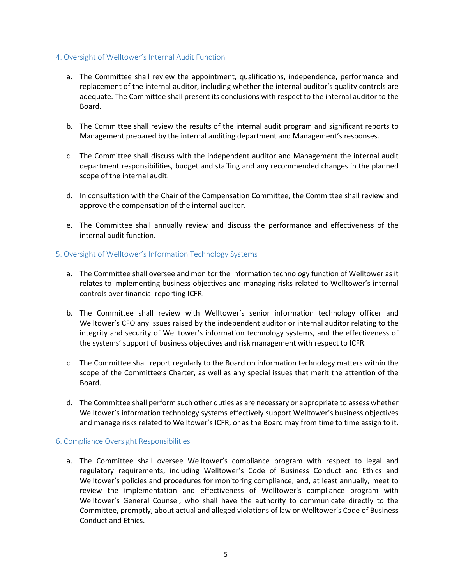### 4. Oversight of Welltower's Internal Audit Function

- a. The Committee shall review the appointment, qualifications, independence, performance and replacement of the internal auditor, including whether the internal auditor's quality controls are adequate. The Committee shall present its conclusions with respect to the internal auditor to the Board.
- b. The Committee shall review the results of the internal audit program and significant reports to Management prepared by the internal auditing department and Management's responses.
- c. The Committee shall discuss with the independent auditor and Management the internal audit department responsibilities, budget and staffing and any recommended changes in the planned scope of the internal audit.
- d. In consultation with the Chair of the Compensation Committee, the Committee shall review and approve the compensation of the internal auditor.
- e. The Committee shall annually review and discuss the performance and effectiveness of the internal audit function.

### 5. Oversight of Welltower's Information Technology Systems

- a. The Committee shall oversee and monitor the information technology function of Welltower as it relates to implementing business objectives and managing risks related to Welltower's internal controls over financial reporting ICFR.
- b. The Committee shall review with Welltower's senior information technology officer and Welltower's CFO any issues raised by the independent auditor or internal auditor relating to the integrity and security of Welltower's information technology systems, and the effectiveness of the systems' support of business objectives and risk management with respect to ICFR.
- c. The Committee shall report regularly to the Board on information technology matters within the scope of the Committee's Charter, as well as any special issues that merit the attention of the Board.
- d. The Committee shall perform such other duties as are necessary or appropriate to assess whether Welltower's information technology systems effectively support Welltower's business objectives and manage risks related to Welltower's ICFR, or as the Board may from time to time assign to it.

#### 6. Compliance Oversight Responsibilities

a. The Committee shall oversee Welltower's compliance program with respect to legal and regulatory requirements, including Welltower's Code of Business Conduct and Ethics and Welltower's policies and procedures for monitoring compliance, and, at least annually, meet to review the implementation and effectiveness of Welltower's compliance program with Welltower's General Counsel, who shall have the authority to communicate directly to the Committee, promptly, about actual and alleged violations of law or Welltower's Code of Business Conduct and Ethics.